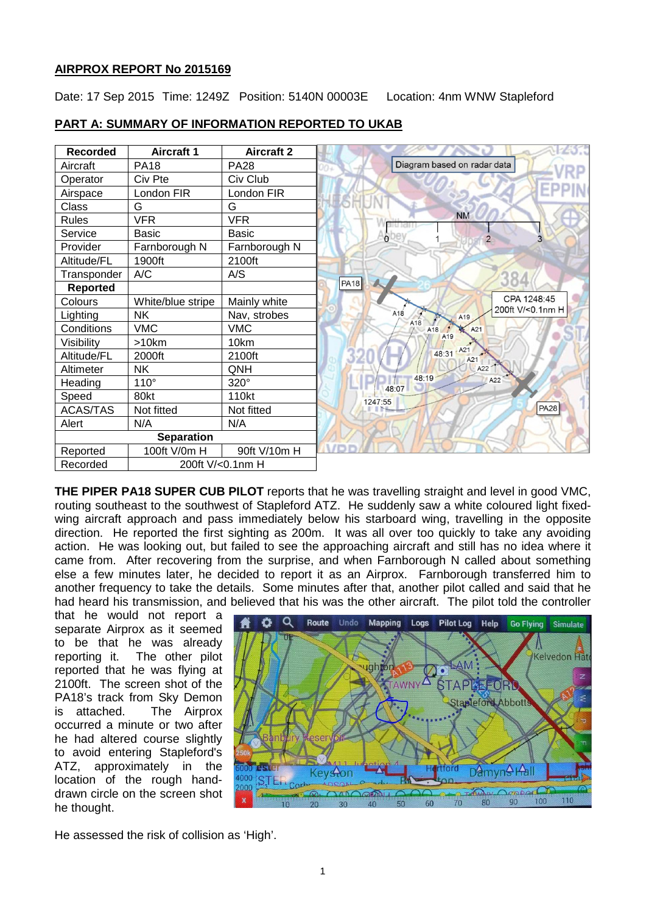# **AIRPROX REPORT No 2015169**

Date: 17 Sep 2015 Time: 1249Z Position: 5140N 00003E Location: 4nm WNW Stapleford

| <b>Recorded</b>   | <b>Aircraft 1</b> | <b>Aircraft 2</b> |                                            |
|-------------------|-------------------|-------------------|--------------------------------------------|
| Aircraft          | <b>PA18</b>       | <b>PA28</b>       | Diagram based on radar data                |
| Operator          | Civ Pte           | Civ Club          |                                            |
| Airspace          | London FIR        | London FIR        |                                            |
| Class             | G                 | G                 |                                            |
| <b>Rules</b>      | <b>VFR</b>        | <b>VFR</b>        | <b>NM</b>                                  |
| Service           | <b>Basic</b>      | <b>Basic</b>      | $\mathsf{o}\,$<br>$\overline{2}$           |
| Provider          | Farnborough N     | Farnborough N     |                                            |
| Altitude/FL       | 1900ft            | 2100ft            |                                            |
| Transponder       | A/C               | A/S               | 384                                        |
| <b>Reported</b>   |                   |                   | <b>PA18</b>                                |
| Colours           | White/blue stripe | Mainly white      | CPA 1248:45                                |
| Lighting          | <b>NK</b>         | Nav, strobes      | 200ft V/<0.1nm H<br>A18<br>A <sub>19</sub> |
| Conditions        | <b>VMC</b>        | <b>VMC</b>        | A18<br>A18<br>A21                          |
| Visibility        | >10km             | 10km              | A <sub>19</sub>                            |
| Altitude/FL       | 2000ft            | 2100ft            | 48:31 A21<br>A21                           |
| Altimeter         | <b>NK</b>         | QNH               | A22                                        |
| Heading           | $110^\circ$       | 320°              | 48:19<br>A22<br>48:07                      |
| Speed             | 80kt              | 110kt             | 1247:55                                    |
| <b>ACAS/TAS</b>   | Not fitted        | Not fitted        | <b>PA28</b>                                |
| Alert             | N/A               | N/A               |                                            |
| <b>Separation</b> |                   |                   |                                            |
| Reported          | 100ft V/0m H      | 90ft V/10m H      |                                            |
| Recorded          | 200ft V/<0.1nm H  |                   |                                            |

#### **PART A: SUMMARY OF INFORMATION REPORTED TO UKAB**

**THE PIPER PA18 SUPER CUB PILOT** reports that he was travelling straight and level in good VMC, routing southeast to the southwest of Stapleford ATZ. He suddenly saw a white coloured light fixedwing aircraft approach and pass immediately below his starboard wing, travelling in the opposite direction. He reported the first sighting as 200m. It was all over too quickly to take any avoiding action. He was looking out, but failed to see the approaching aircraft and still has no idea where it came from. After recovering from the surprise, and when Farnborough N called about something else a few minutes later, he decided to report it as an Airprox. Farnborough transferred him to another frequency to take the details. Some minutes after that, another pilot called and said that he had heard his transmission, and believed that his was the other aircraft. The pilot told the controller

that he would not report a separate Airprox as it seemed to be that he was already reporting it. The other pilot reported that he was flying at 2100ft. The screen shot of the PA18's track from Sky Demon is attached. The Airprox occurred a minute or two after he had altered course slightly to avoid entering Stapleford's ATZ, approximately in the location of the rough handdrawn circle on the screen shot he thought.



He assessed the risk of collision as 'High'.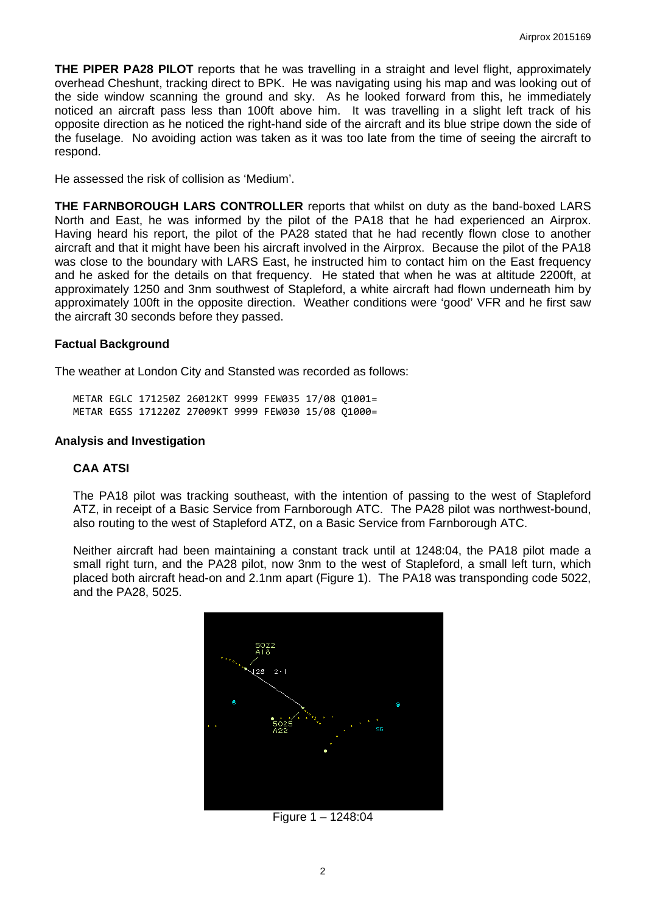**THE PIPER PA28 PILOT** reports that he was travelling in a straight and level flight, approximately overhead Cheshunt, tracking direct to BPK. He was navigating using his map and was looking out of the side window scanning the ground and sky. As he looked forward from this, he immediately noticed an aircraft pass less than 100ft above him. It was travelling in a slight left track of his opposite direction as he noticed the right-hand side of the aircraft and its blue stripe down the side of the fuselage. No avoiding action was taken as it was too late from the time of seeing the aircraft to respond.

He assessed the risk of collision as 'Medium'.

**THE FARNBOROUGH LARS CONTROLLER** reports that whilst on duty as the band-boxed LARS North and East, he was informed by the pilot of the PA18 that he had experienced an Airprox. Having heard his report, the pilot of the PA28 stated that he had recently flown close to another aircraft and that it might have been his aircraft involved in the Airprox. Because the pilot of the PA18 was close to the boundary with LARS East, he instructed him to contact him on the East frequency and he asked for the details on that frequency. He stated that when he was at altitude 2200ft, at approximately 1250 and 3nm southwest of Stapleford, a white aircraft had flown underneath him by approximately 100ft in the opposite direction. Weather conditions were 'good' VFR and he first saw the aircraft 30 seconds before they passed.

# **Factual Background**

The weather at London City and Stansted was recorded as follows:

METAR EGLC 171250Z 26012KT 9999 FEW035 17/08 Q1001= METAR EGSS 171220Z 27009KT 9999 FEW030 15/08 Q1000=

### **Analysis and Investigation**

# **CAA ATSI**

The PA18 pilot was tracking southeast, with the intention of passing to the west of Stapleford ATZ, in receipt of a Basic Service from Farnborough ATC. The PA28 pilot was northwest-bound, also routing to the west of Stapleford ATZ, on a Basic Service from Farnborough ATC.

Neither aircraft had been maintaining a constant track until at 1248:04, the PA18 pilot made a small right turn, and the PA28 pilot, now 3nm to the west of Stapleford, a small left turn, which placed both aircraft head-on and 2.1nm apart (Figure 1). The PA18 was transponding code 5022, and the PA28, 5025.



Figure 1 – 1248:04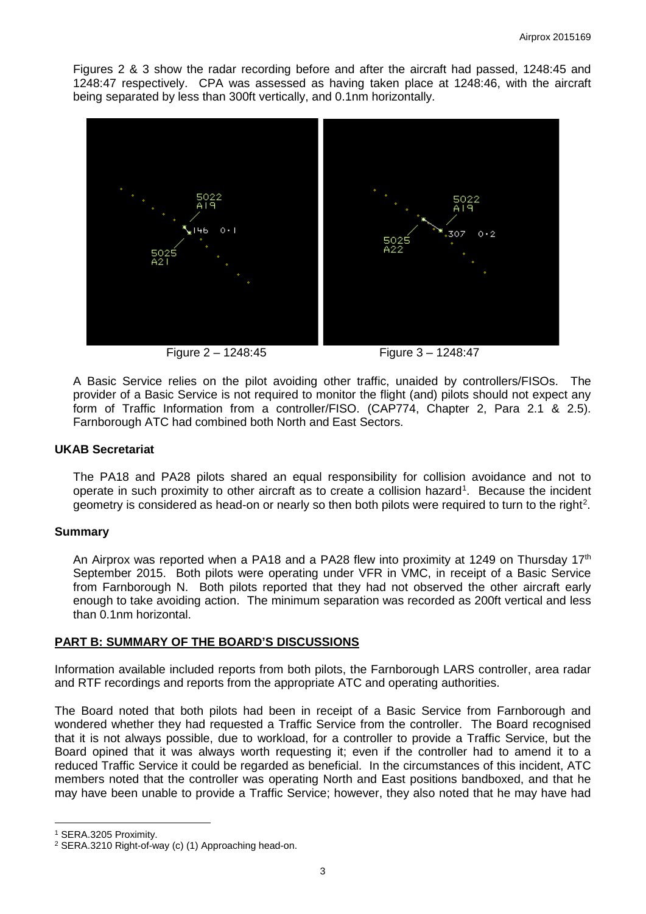Figures 2 & 3 show the radar recording before and after the aircraft had passed, 1248:45 and 1248:47 respectively. CPA was assessed as having taken place at 1248:46, with the aircraft being separated by less than 300ft vertically, and 0.1nm horizontally.



Figure 2 – 1248:45 Figure 3 – 1248:47

A Basic Service relies on the pilot avoiding other traffic, unaided by controllers/FISOs. The provider of a Basic Service is not required to monitor the flight (and) pilots should not expect any form of Traffic Information from a controller/FISO. (CAP774, Chapter 2, Para 2.1 & 2.5). Farnborough ATC had combined both North and East Sectors.

#### **UKAB Secretariat**

The PA18 and PA28 pilots shared an equal responsibility for collision avoidance and not to operate in such proximity to other aircraft as to create a collision hazard<sup>[1](#page-2-0)</sup>. Because the incident geometry is considered as head-on or nearly so then both pilots were required to turn to the right<sup>2</sup>.

#### **Summary**

An Airprox was reported when a PA18 and a PA28 flew into proximity at 1249 on Thursday 17<sup>th</sup> September 2015. Both pilots were operating under VFR in VMC, in receipt of a Basic Service from Farnborough N. Both pilots reported that they had not observed the other aircraft early enough to take avoiding action. The minimum separation was recorded as 200ft vertical and less than 0.1nm horizontal.

#### **PART B: SUMMARY OF THE BOARD'S DISCUSSIONS**

Information available included reports from both pilots, the Farnborough LARS controller, area radar and RTF recordings and reports from the appropriate ATC and operating authorities.

The Board noted that both pilots had been in receipt of a Basic Service from Farnborough and wondered whether they had requested a Traffic Service from the controller. The Board recognised that it is not always possible, due to workload, for a controller to provide a Traffic Service, but the Board opined that it was always worth requesting it; even if the controller had to amend it to a reduced Traffic Service it could be regarded as beneficial. In the circumstances of this incident, ATC members noted that the controller was operating North and East positions bandboxed, and that he may have been unable to provide a Traffic Service; however, they also noted that he may have had

l

<span id="page-2-0"></span><sup>1</sup> SERA.3205 Proximity.

<span id="page-2-1"></span><sup>2</sup> SERA.3210 Right-of-way (c) (1) Approaching head-on.